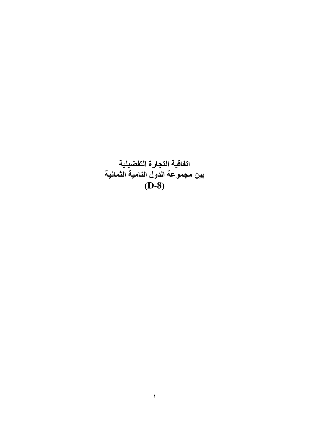اتفاقية التجارة التفضيلية<br>بين مجموعة الدول النامية الثمانية  $(D-8)$ 

 $\Delta$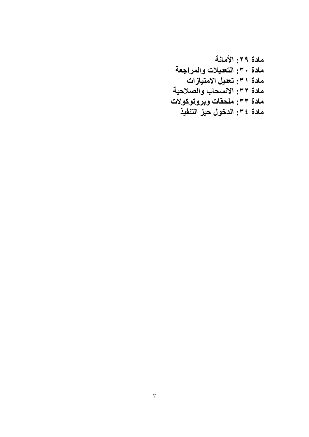مادة ٢٩: الأمانية مادة ٣٠: التعديلات والمراجعة مادة ٣١: تعديل الامتيازات مادة ٣٢: الانسحاب والصلاحية مادة ٣٣: ملحقات وبروتوكولات مادة ٣٤: الدخول حيز التنفيذ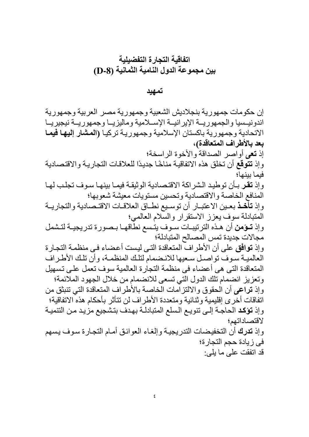## اتفاقية التجار ة التفضيلية بين مجموعة الدول النامية الثمانية (D-8)

تمهيد

إن حكومات جمهورية بنجلاديش الشعبية وجمهورية مصر العربية وجمهورية اندونيسيا والجمهوريــة الإيرانيــة الإســلامية وماليزيــا وجمهوريــة نيجيريــا الاتحادية وجمهورية باكستان الإسلامية وجمهورية تركيا (المشار إليها فيما بعد بالأطراف المتعاقدة)، إذ تعى أواصر الصداقة والأخوة الر اسخة؛ وإذ تتوقع أن تخلق هذه الاتفاقية مناخًا جديدًا للعلاقات التجارية والاقتصادية فبما بينها؛ وإذ **تقر** بـأن توطيد الشراكة الاقتصادية الوثيقـة فيمـا بينهـا سـوف تجلـب لهـا المنافع الخاصة والاقتصادية وتحسين مستويات معيشة شعوبها؛ وإذ تأخذ بعين الاعتبـار أن توسـيع نطـاق العلاقـات الاقتـصادية والتجاريـة المتبادلة سوف يعزز الاستقرار والسلام العالمي؛ وإذ تحؤمن أن هذه الترتيبات سـوف يتـسع نطاقهـا بـصورة تدريجيـة لتـشمل مجالات جديدة تمس المصىالح المتبادلة؛ و إذ توافق على أن الأطراف المتعاقدة التي ليست أعضاء في منظمة التجارة العالمية سوف تواصل سعيها للانضمام لتلك المنظمة، وأن تلك الأطراف المتعاقدة التي هي أعضاء في منظمة التجارة العالمية سوف تعمل على تسهيل وتعزيز انضمام تلك الدول التي تسعى للانضمام من خلال الجهود الملائمة؛ وإذ تراعى أن الحقوق والالتز آمات الّخاصة بالأطراف المتعاقدة التي تنبثق من اتفاقات أخرى إقليمية وثنائية ومتعددة الأطر اف لن تتأثر بأحكام هذه الاتفاقية؛ وإذ تؤكد الحاجة إلى تنويع السلع المتبادلة بهدف بتشجيع مزيد من التنمية لاقتصاداتهم؛ وإذ تدرك أن التخفيضات التدريجية وإلغاء العوائق أمام التجارة سوف يسهم في زيادة حجم التجارة؛ قد اتفقت على ما بلي: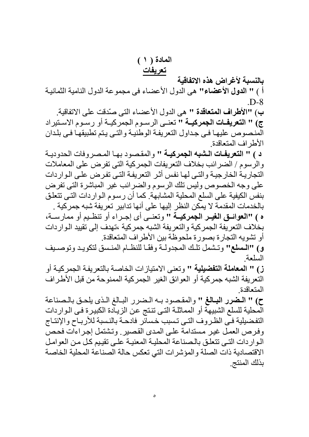المادة ( ١ )

تعريفات

بالنسبة لأغراض هذه الاتفاقية أ ) " الدول الأعضاء" هي الدول الأعضاء في مجموعة الدول النامية الثمانية  $D-8$ 

ب) "الأطراف المتعاقدة " هي الدول الأعضاء التي صدِّقت على الاتفاقية. ج) " التعريفـات الجمركيــة " تعنــى الرسـوم الجمركيــة أو رسـوم الاســتيراد المنصوص عليها في جداول التعريفة الوطنية والتي يتم تطبيقها في بلدان الأطر اف المتعاقدة

د ) " التعريفات الشبه الجمركية " والمقصود بها المصروفات الحدودية والرسوم / الضرائب بخلاف التعريفات الجمركية التي تفرض على المعاملات التجارية الخارجية والتي لها نفس أثر التعريفة التي تفرض على الواردات على وجه الخصوص وليس تلك الرسوم والضرائب غير المباشرة التي تفرض بنفس الكيفية على السلع المحلية المشابهة. كما أن ر سوم الـو ار دات التـى تتعلـق بالخدمات المقدمة لا يمكن النظر إليها على أنها تدابير تعريفة شبه جمركية . ه ) "العوائــق الغيــر الجمركيــة " وتعنــى أي إجــراء أو تنظـيم أو ممارســة،

بخلاف التعريفة الجمركية والتعريفة الشبه جمركية ،تهدف إلى تقييد الـواردات أو تشويه التجارة بصورة ملحوظة بين الأطراف المتعاقدة.

و) "المسلع" وتشمل تلك المجدولة وفقًا للنظـام المنسق لتكويـد وتوصـيف السلعة

ز) " المعاملة التفضيلية " وتعني الامتيازات الخاصة بالتعريفة الجمركية أو النعريفة الشبه جمركية أو العوائق الغير الجمركية الممنوحة من قبل الأطراف المتعاقدة

ح) " المضرر البالغ " والمقصود به المضرر البالغ الذي يلحق بالمصناعة الْمُحلية للسلع الشبيهة أو المماثلة التي تنتج عن الزيادة الكبيرة في الـواردات التفضيلية فـّي الظروف التـي تسبب خسائر فادحـة بالنسبة للأربـاح والإنتـاج وفرص العمل غير مستدامة على المدى القصير وتشتمل إجراءات فحص الواردات التي تتعلق بالصناعة المحلية المعنية على تقييم كل من العوامل الاقتصادية ذات الصلة والمؤشرات التي تعكس حالة الصناعة المحلية الخاصة بذلك المنتج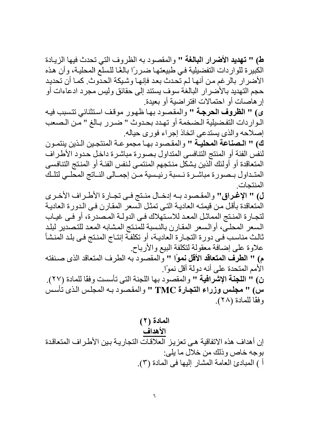ط) " تهديد الأضرار البالغة " والمقصود به الظروف التي تحدث فيها الزيادة الكبيرة للواردات التفضيلية في طبيعتها ضرراً بالغًا للسلع المحلية، وأن هذه الأضرار بالرغم من أنها لم تُحدث بعد فإنها وشبكة الحدّوث. كما أن تحديد حجم التهديد بالأضر ار البالغة سوف يستند إلى حقائق وليس مجرد ادعاءات أو إر هاصبات أو احتمالات افتر اضبية أو بعيدة.

ى) " الظروف الحرجة " والمقصود بها ظهور موقف استثنائي تتسبب فيه الـواردات التفضيلية الـضخمة أو تهدد بحدوث " ضـرر بـالغ " مـن الـصعب إصلاحه والذي يستدعى اتخاذ إجراء فورى حياله

ك) " المصناعة المحليـة " والمقصود بهـا مجموعـة المنتجـين الـذين ينتمـون لنفس الفئة أو المنتج التنافسي المتداول بصورة مباشرة داخل حدود الأطراف المتعاقدة أو أولئك الذين يشكل منتجهم المنتمى لنفس الفئة أو المنتج التنافسي المتداول ببصورة مباشيرة نسبة رئيسية من إجمالي النباتج المحلبي لتلك المنتحات

ل) " الإغراق" والمقصود بـه إدخـال منـتج فـي تجـارة الأطـراف الأخـري المتعاقدة بأقل من قيمتـه العاديـة التـي تمثل الـسعر المقـارن فـي الـدورة الـعاديـة لتجارة المنتج المماثل المعد للاستهلاك في الدولـة المصدرة، أو فـي غيـاب السعر المحليى، أوالسعر المقارن بالنسبة للمنتج المشابه المعد للتصدير لبلد ثالث مناسب في دورة التجارة العادية، أو تكلفة إنتـاج المنتج في بلد المنشأ علاوة على إضافة معقولة لتكلفة البيع والأرباح م) " الطرف المتعاقد الأقل نموًا " والمقصود به الطرف المتعاقد الذي صنفته الأمم المتحدة على أنه دولة أقل نموًا ِ ن) " اللجنة الإشرافية " والمقصود بها اللجنة التي تأسست وفقًا للمادة (٢٧). سُ) " مجلسُ وزراء التجارة TMC " والمقصوِّد بـه المجلس الذي تُأسسُ وفقًا للمادة (٢٨).

## المادة (٢)

الأهداف إن أهداف هذه الاتفاقية هي تعزيز العلاقات التجارية بين الأطراف المتعاقدة بوجه خاص وذلك من خلال ما يلي: أ ) المبادئ العامة المشار إليها في المادة (٣).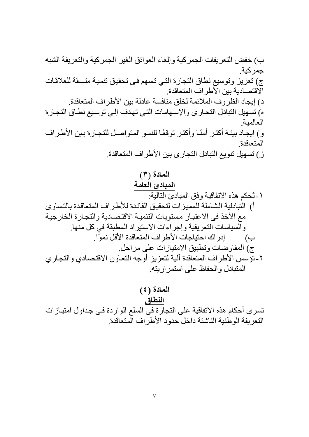ب) خفض التعريفات الجمركية وإلغاء العوائق الغير الجمركية والتعريفة الشبه جمر كبة ج) تعزيز وتوسيع نطاق التجارة التي تسهم في تحقيق تنمية متسقة للعلاقات الاقتصادية بين الأطر اف المتعاقدة د) إيجاد الظروف الملائمة لخلق منافسة عادلة بين الأطراف المتعاقدة. ه) تسهيل التبادل التجاري والإسهامات التي تهدف إلىي توسيع نطاق التجارة العالمية و) إيجـاد بيئـة أكثـر أمئـًا وأكثـر توقعُـا للنمـو المتواصـل للتجـارة بـين الأطـراف المتعاقدة ز) تسهيل تنويع التبادل التجاري بين الأطراف المتعاقدة. المادة (٣) المبادئ العامة

المادة (٤) النطاق تسرى أحكام هذه الاتفاقية على التجارة في السلع الواردة في جداول امتيازات النعر يفة الوطنية الناشئة داخل حدود الأطر اف المتعاقدة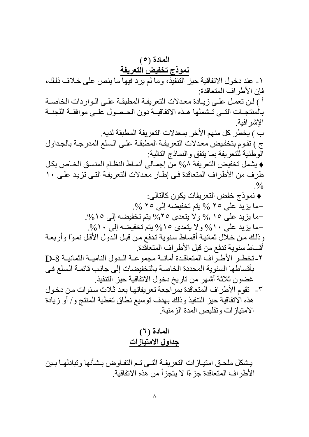المادة (٥) نموذج تخفيض التعريفة ١- عند دخول الاتفاقية حيز التنفيذ، وما لم يرد فيها ما ينص على خلاف ذلك، فإن الأطر اف المتعاقدة: أ ) لن تعمل على زيادة معدلات التعريفة المطبقة على الواردات الخاصية بالمنتجـات التـى تـشملها هـذه الاتفاقيــة دون الحـصول علــى موافقــة اللجنــة الاشر افية ب ) يخطر كل منهم الأخر بمعدلات النعريفة المطبقة لديه. ج ) تقوم بتخفيض معدلات التعريفة المطبقة على السلع المدرجة بالجداول الوطنية للتعريفة بما يتفق والنماذج التالية: ♦ يشمل تخفيض التعريفة ٨% منّ إجمـالى أنمـاط النظـام المنسق الخـاص بكل طرف من الأطراف المتعاقدة في إطـار معدلات التعريفة التي تزيد علـي ١٠  $\frac{0}{0}$ ♦ نموذج خفض التعريفات يكون كالتالي: –ما بزيد على ٢٥ % يتم تخفيضه إلى ٢٥ %. -ما يزيد على ١٥ % ولا يتعدى ٢٥% يتم تخفيضه إلى ١٥%. -ما يزيد على ١٠% ولا يتعدى ١٥% يتم تخفيضه إلى ١٠%. وذلك من خلال ثمانية أقساط سنوية تدفع من قبل الدول الأقل نموًا وأربعة أقساط سنوية تدفع من قبل الأطراف المتعاقدة. ٢-تخطـر الأطـراف المتعاقـدة أمانــة مجموعـة الـدول الناميـة الثمانيــة D-8 بأقساطها السنوية المحددة الخاصة بالتخفيضات إلى جانب قائمة السلع في غضون ثلاثة أشهر من تاريخ دخول الاتفاقية حيز التنفيذ. ٣- تقوم الأطراف المتعاقدة بمرّاجعة تعريفاتها بعد ثلاث سنوات من دخول هذه الاتفاقية حيز التنفيذ وذلك بهدف توسيع نطاق تغطية المنتج و/ أو زيادة الإمتياز ات و تقليص المدة الز منية

### المادة (٦) جداول الامتيازات

يشكل ملحق امتيـازات التعريفـة التـى تـم التفـاوض بـشأنها وتبادلهـا بـين الأطر اف المتعاقدة جز ءًا لا يتجز أ من هذه الاتفاقية.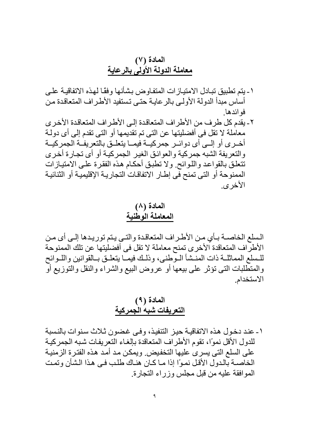## المادة (٧) معاملة الدولة الأولى بالرعاية

- ١ ـ يتم تطبيق تبـادل الامتيـاز ات المتفـاو ض بشـأنـها وفقَـا لـهـذه الاتفاقيـة علـي أساس مبدأ الدولة الأولى بالرعاية حتى تستفيد الأطراف المتعاقدة من فو ائدها
- ٢- بقدم كل طرف من الأطراف المتعاقدة إلى الأطراف المتعاقدة الأخرى معاملة لا تقل في أفضليتها عن التي تم تقديمها أو التي تقدم إلى أي دولـة أخــري أو إلــي أي دوائــر جمر كيــة فيمــا يتعلــق بالتعر يفــة الجمر كبــة والتعريفة الشبه جمركية والعوائق الغير الجمركية أو أي تجارة أخرى تتعلق بالقواعد واللوائح ولا تطبق أحكام هذه الفقرة على الامتيازات الممنوحة أو التي تمنح في إطـار الاتفاقـات التجاريـة الإقليميـة أو الثنـائيـة الأخر ي

المادة (٨) المعاملة الوطنية

السلع الخاصــة بـأي مـن الأطـراف المتعاقـدة والتـى يـتم توريـدها إلـى أي مـن الأطراف المتعاقدة الأخرى تمنح معاملة لا تقل في أفضليتها عن تلك الممنوحة للسلع المماثلة ذات المنشأ الـوطني، وذلـك فيمـا يتعلـق بـالقوانين واللـوائح والمتطَّلبات التي تؤثَّر على بيعها أو عروض البيع والشراء والنقل والتوزيع أوَّ الاستخدام

## المادة (٩) التعريفات شبه الجمركية

١ ـ عند دخول هذه الاتفاقيــة حيـز التنفيذ، وفـي غضون ثـلاث سنوات بالنسبة للدول الأقل نموًا، تقوم الأطراف المتعاقدة بإلغاء التعريفات شبه الجمركية على السلع التي يسرى عليها التخفيض ويمكن مد أمد هذه الفترة الزمنية الخاصــة بالدول الأقل نمـوًا إذا مـا كـان هنـاك طلب فـي هذا الـشأن وتمـت المو افقة عليه من قبل مجلس وزراء التجارة.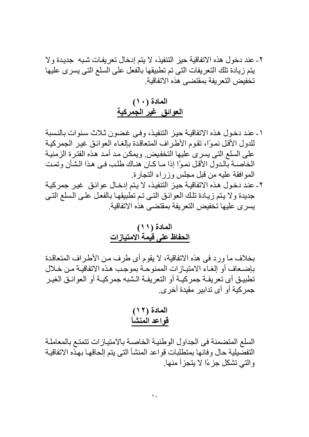٢ ـ عند دخول هذه الاتفاقية حيز التنفيذ، لا يتم إدخال تعريفات شبه ۖ جديدة ولا يتم زيادة تلك التعريفات التي تم تطبيقها بالفعل على السلع التي يسرى عليها تخفيض التعر بفة بمقتضبي هذه الاتفاقية

# المادة (١٠) العوائق غير الجمركية

١ ـ عند دخول هذه الاتفاقيــة حيـز التنفيذ، وفـي غضون ثـلاث سنوات بالنسبة للدول الأقل نموًا، تقوم الأطراف المتعاقدة بإلغاء العوائق غير الجمركية على السلع التي يسرى عليها التخفيض ويمكن مد أمد هذه الفترة الزمنية الخاصــة بالدول الأقل نمـوًا إذا مـا كـان هنـاك طلب فـي هـذا الـشأن وتمـت المو افقة عليه من قبل مجلس وزراء التجارة. ٢- عند دخول هذه الاتفاقيــة حيـز التنفيذ، لا يـتم إدخـال عوائـق غيـر جمركيــة جديدة ولا يتم زيادة تلك العوائق التي تم تطبيقها بالفعل على السلع التي يسر ي عليها تخفيض التعر يفة بمقتضبي هذه الاتفاقية.

### المادة (١١) الحفاظ على قيمة الامتيازات

بخلاف ما ورد في هذه الاتفاقية، لا يقوم أي طرف من الأطراف المتعاقدة بإضـعاف أو الغـاء الامتيـاز ات الممنو حـة بمو جـب هـذه الاتفاقيـة مـن خـلال تطبيق أي تعريفـة جمركيــة أو التعريفــة الـشبه جمركيــة أو العوائـق الغيـر جمر كية أو أي تدابير ًمقيدة أخر ي.

السلع المتضمنة في الجداول الوطنية الخاصىة بالامتيازات تتمتع بالمعاملة التفصيلية حال وفائها بمتطلبات قواعد المنشأ التي يتم إلحاقها بهده الاتفاقية و التي تشكل جزءًا لا يتجزأ منها.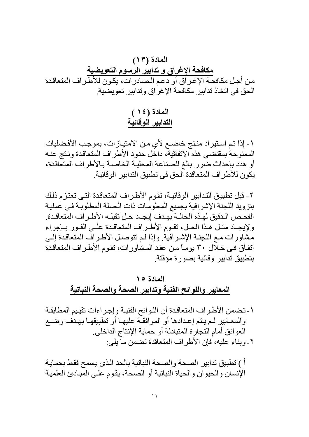المادة (١٣) <mark>مكافحة الإغراق و تدابير الرسوم التعويضية</mark><br>من أجل مكافحـة الإغراق أو دعم الصـادرات، يكون للأطـراف المتعاقدة الحق في اتخاذ تدابير مكافحة الإغراق وتدابير تعويضية.

المادة (١٤) التدابير الوقائية

١ ـ إذا تـم اسـتير اد منـتج خاضــع لأي مـن الامتيـاز ات، بموجـب الأفـضليات الممنوحة بمقتضى هذه الاتفاقية، داخل حدود الأطراف المتعاقدة ونتج عنـه أو هدد بإحداث ضرر بالغ للصناعة المحلية الخاصىة بـالأطراف المتعاقدة، يكون للأطر اف المتعاقدة الحق في تطبيق التدابير الوقائية.

٢- قبل تطبيق التدابير الوقائيـة، تقوم الأطر اف المتعاقدة التـي تعتز م ذلك بتزويد اللجنة الإشرافية بجميع المعلومات ذات الصلة المطلوبة في عملية الفحـص الـدقيق لـهـذه الـحالــة بـهـدف إيـجــاد حـل تقبلــه الأطــر اف المتعاقـدة ولإيجاد مثل هذا الحل، تقوم الأطراف المتعاقدة على الفور بإجراء مشاورات مع اللجنة الإشرافية وإذا لم تتوصل الأطراف المتعاقدة إلى اتفاق في خلال ٣٠ يومـًا مـن عقد المشاورات، تقوم الأطراف المتعاقدة بتطبيق تدابير وقائبة بصور ة مؤقتة

## المادة ١٥ المعايير واللوائح الفنية وتدابير الصحة والصحة النباتية

١-تضمن الأطراف المتعاقدة أن اللوائح الفنية وإجراءات تقييم المطابقة والمعـايير لـم يـنم إعـدادها أو الموافقـة عليهـا أو نطبيقهـا بـهـدف وضـع العو ائق أمام النجار ة المتبادلة أو حماية الإنتاج الداخلي. ٢-وبناء عليه، فإن الأطراف المتعاقدة تضمن ما يلي:

أ ) تطبيق تدابير الصحة والصحة النباتية بالحد الذي يسمح فقط بحمايـة الإنسان والحيوان والحياة النباتية أو الصحة، يقوم على المبادئ العلمية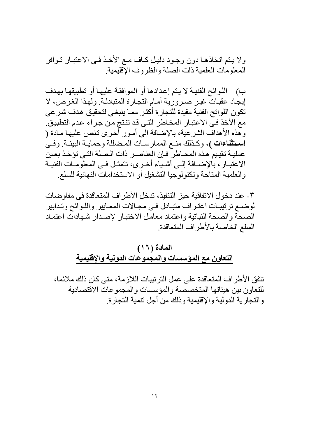ولا يتم اتخاذهـا دون وجـود دليـل كـاف مـع الأخـذ فـي الاعتبـار تـوافر المعلومات العلمية ذات الصلة و الظر و ف الإقليمية.

ب) اللوائح الفنيــة لا يـنّم إعدادها أو الموافقـة عليهـا أو تطبيقهـا بـهدف إيجاد عقباتٌ غير ضرورية أمـام النجـارة المتبادلـة ولهذا الغرض، لا تكون اللوائح الفنية مقيدة للتجارة أكثر مما ينبغي لتحقيق هدف شرعي مع الأخذ في الاعتبار المخاطر التي قد تنتج من جراء عدم التطبيق ِ وهَّذه الأهداف الشرعية، بالإضافة إلى أمور أُخرى تنص عليها مـادة ( استثناءات )، وكذلك منـع الممارسـات المـضللة وحمايـة البيئـة وفـيَ عمليــة تقيـيم هـذه المخــاطر ۖ فـإن الـعناصــر ذات الـصلة التــي تؤخـذ بـعـين الاعتبــار ، بالإضـــافة إلــي أشـياء أخـري، تتمثـل فــي المعلومــات الفنيــة والعلمية المتاحة وتكنولوجيا التشغيل أو الاستخدامات النهائية للسلع

٣- عند دخو ل الاتفاقية حبز التنفيذ، تدخل الأطر اف المتعاقدة في مفاو ضبات لوضـع ترتيبـات اعتـراف متبـادل فـي مجـالات المعـايير واللـوائح وتـدابير الصحة والصحة النباتية واعتماد معامل الاختبار لإصدار شهادات اعتماد السلع الخاصة بالأطر اف المتعاقدة

#### المادة (١٦) التعاون مع المؤسسات والمجموعات الدولية والإقليمية

تتفق الأطراف المتعاقدة على عمل الترتيبات اللازمة، متى كان ذلك ملائما، للتعاون بين هيئاتها المتخصصة والمؤسسات والمجموعات الاقتصادية و التجار ية الدولية و الإقليمية و ذلك من أجل تنمية التجار ة.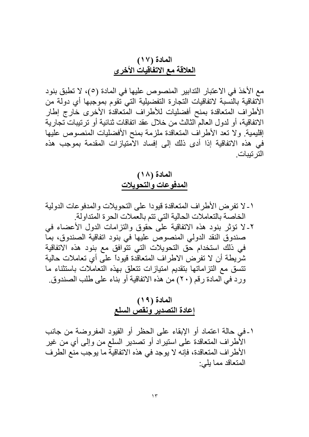#### المادة (١٧) العلاقة مع الاتفاقيات الأخر ي

مع الأخذ في الاعتبار التدابير المنصوص عليها في المادة (٥)، لا تطبق بنود الآتفاقية بالنَّسبة لاتفاقيات التجارة التفضيلية التي تقوم بموجبها أي دولة من الأطراف المتعاقدة بمنح أفضليات للأطراف المتعاقدة الأخرى خارج إطار الاتفاقية، أو لدول العالم الثالث من خلال عقد انفاقات ثنائية أو ترتيبات تجارية إقليمية ولا تعد الأطراف المتعاقدة ملزمة بمنح الأفضليات المنصوص عليها في هذه الاتفاقية إذا أدى ذلك إلى إفساد الآمتيازات المقدمة بموجب هذه التر تسات

#### المادة (١٨) المدفوعات والتحويلات

١ ـ لا تفر ض الأطر اف المتعاقدة قيو دا على التحو بلات و المدفو عات الدو لية الخاصة بالتعاملات الحالية التي تتم بالعملات الحرة المتداولة ٢- لا تؤثِّر بنود هذه الاتفاقية علَّى حُقوق والنزامات الدول الأعضاء في صندوق النقد الدولي المنصوص عليها في بنود انفاقية الصندوق، بما في ذلك استخدام حق التحويلات التي تتوافق مع بنود هذه الاتفاقية شريطة أن لا تفرض الاطراف المتعاقدة قيوداً على أي تعاملات حالية تتسق مع التزاماتها بتقديم امتيازات تتعلق بهذه التعاملات باستثناء ما ورد في المادة رقم (٢٠) من هذه الاتفاقية أو بناء على طلب الصندوق.

### المادة (١٩) إعادة التصدير ونقص السلع

١-في حالة اعتماد أو الإبقاء على الحظر أو القيود المفروضة من جانب الأطراف المتعاقدة على استيراد أو تصدير السلع من وإلى أي من غير الأطر اف المتعاقدة، فإنه لا يوجد في هذه الاتفاقية ما يوجب منع الطرف المتعاقد مما يلي: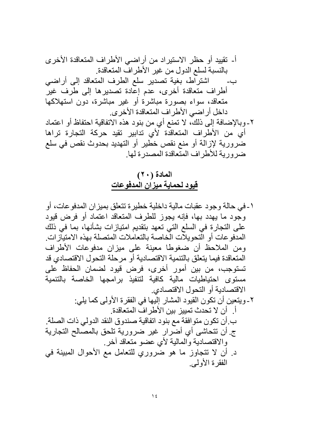### المادة (٢٠) قيود لحماية ميزان المدفوعات

١ ـ في حالة و جو د عقبات مالية داخلية خطير ة تتعلق بميز ان المدفو عات، أو وجود ما يهدد بها، فإنه يجوز للطرف المتعاقد اعتماد أو فرض قيود على التجارة في السلع التي تعهد بتقديم امتيازات بشأنها، بما في ذلك المدفوعات أو الّتحويلّات الّخاصة بالتعاملات المتصلة بهذه الامتيازات. ومن الملاحظ أن ضغوطا معينة على ميزان مدفوعات الأطراف المتعاقدة فيما يتعلق بالتنمية الاقتصادية أو مرحلة التحول الاقتصادي قد تستوجب، من بين أمور أخرى، فرض قيود لضمان الحفاظ على مستوى احتياطيات مالية كافية لتنفيذ برامجها الخاصة بالتنمية الاقتصادية أو التحول الاقتصادي. ٢- ويتعين أن تكون القيود المشار إليها في الفقرة الأولى كما يلي: أ. أن لا تحدث تمييز بين الأطراف المتعاقدة. ب أن تكون متوافقة مع بنود اتفاقية صندوق النقد الدولي ذات الصلة. ج أن تتحاشى أي أضَّرار غير ضرورية تلحق بالمصَّالح التجارية والاقتصادية والمالية لأي عضو متعاقد آخر د أن لا تتجاوز ما هو ضروري للتعامل مع الأحوال المبينة في الفقر ۃ الأولمے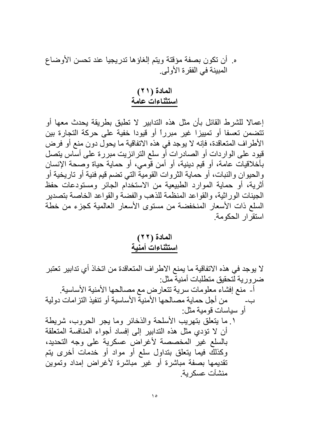ه ِ أن تكون بصفة مؤقتة ويتم الغاؤها تدريجيا عند تحسن الأوضاع المبينة في الفقرة الأولى.

المادة (٢١) استثناءات عامة

إعمالا للشرط القائل بأن مثل هذه التدابير لا تطبق بطريقة يحدث معها أو تتضمن تعسفا أو تمييزا غير مبرراً أو قيودا خفية على حركة التجارة بين الأطراف المتعاقدة، فإنه لا يوجد في هذه الاتفاقية ما يحول دون منع أو فرض قيود على الواردات أو الصادرات أو سلع الترانزيت مبررة على أساس يتصل بأخلاقيات عامة، أو قيم دينية، أو أمن قَومي، أو حماية حياة وصحة الإنسان والحيوان والنبات، أو حماية الثروات القومية التي تضم قيم فنية أو تاريخية أو أثرية، أو حماية الموارد الطبيعية من الاستخدام الجائر ومستودعات حفظ الجينات الور اثية، والقواعد المنظمة للذهب والفضية والقواعد الخاصية بتصدير السلع ذات الأسعار المنخفضة من مستوى الأسعار العالمية كجزء من خطة استقر ار الحكومة

المادة (٢٢) استثناءات أمنية

لا يوجد في هذه الاتفاقية ما يمنع الاطراف المتعاقدة من اتخاذ أي تدابير تعتبر ضر ورية لتحقيق متطلبات أمنية مثل:

أ- منع إفشاء معلومات سرية تتعارض مع مصالحها الأمنية الأساسية. من أجل حماية مصـالحها الأمنية الأساسية أو تنفيذ التز امات دولية ب۔ أو سباسات قومبة مثل: ١ ما يتعلق بتهريب الأسلحة والذخائر وما يجر الحروب، شريطة أن لا تؤدى مثل هذه التدابير إلى إفساد أجواء المنافسة المتعلقة بالسلع غير المخصصة لأغراض عسكرية على وجه التحديد، وكذلكٌ فيما يتعلق بتداول سلع أو مواد أو خدمات أخرى يتم تقديمها بصفة مباشرة أو غير مباشرة لأغراض إمداد وتموين منشآت عسكر ية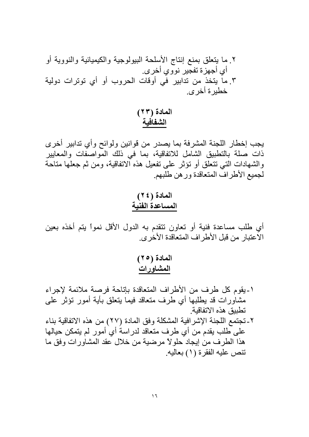المادة (٢٣) الشفافية

يجب إخطار اللجنة المشرفة بما يصدر من قوانين ولوائح وأي تدابير أخرى ذات صلة بالتطبيق الشامل للاتفاقية، بما في ذلك المواصفات والمعايير والشهادات التبي نتعلق أو نؤثر على تفعيل هذه الاتفاقية، ومن ثم جعلها مناحة لجميع الأطراف المتعاقدة ورهن طلبهم

المادة (٢٤) المساعدة الفنية

أي طلب مساعدة فنية أو تعاون تتقدم به الدول الأقل نمواً يتم أخذه بعين الأعتبار من قبل الأطراف المتعاقدة الأخرى.

> المادة (٢٥) المشاورات

١-يقوم كل طرف من الأطراف المتعاقدة بإتاحة فرصة ملائمة لإجراء مشاورات قد يطلبها أي طرف منعاقد فيما يتعلق بأية أمور تؤثر على تطبيق هذه الاتفاقية ٢-تجتمع اللجنة الإشرافية المشكلة وفق المادة (٢٧) من هذه الاتفاقية بناء على طلب يقدم من أي طرف متعاقد لدراسةُ أي أمور لم يتمكن حيالها هذا الطرف من إيجاد حلولاً مرضية من خلال عقد المشاورات وفق ما تنص عليه الفقرة (١) بعاليه.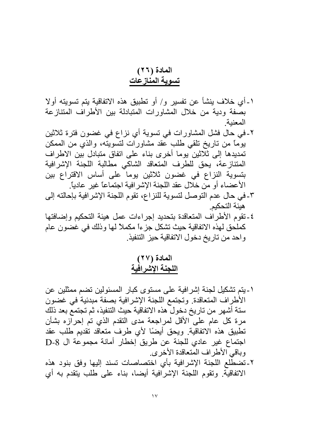## المادة (٢٦) تسوية المنازعات

- ١-أي خلاف بنشأ عن تفسير و/ أو نطبيق هذه الاتفاقية بنم تسويته أولا بصفة ودية من خلال المشاورات المتبادلة بين الأطراف المتنازعة المعنىة
- ٢-في حال فشل المشاورات في تسوية أي نزاع في غضون فترة ثلاثين بِوْمًا من ناريخ نلقى طلب عُقد مشاورات لتسويتُه، والذي من الممكن تمديدها إلى ثلاثين يوما أخرى بناء على اتفاق متبادل بين الاطراف المتنازعة، يحق للطرف المتعاقد الشاكي مطالبة اللجنة الإشرافية بتسوية النزاع في غضون ثلاثين يوماً على أساس الاقتراع بين الأعضاء أو من خلال عقد اللجنة الإشر افية اجتماعاً غير عادياً.
- ٣- في حال عدم التوصل لتسوية للنزاع، تقوم اللجنة الإشرافية بإحالته إلى هيئة التحكيم
- ٤-تقوم الأطراف المتعاقدة بتحديد إجراءات عمل هيئة التحكيم وإضافتها كملحق لهذه الاتفاقية حيث تشكل جزءاً مكملاً لها وذلك في غضون عام واحد من تاريخ دخول الاتفاقية حيز التنفيذ

المادة (٢٧) اللجنة الإشرافية

- ١-بِتِم تشكيل لجنة إشرافية على مستوى كبار المسئولين تضم ممثلين عن الأطراف المتعاقدة. وتجتمع اللجنة الإشرافية بصفة مبدئية في غضون ستة أشهر من تاريخ دخول هذه الاتفاقية حيث التنفيذ، ثم تجتمع بعد ذلك مرة كل عام على الأقل لمراجعة مدى النقدم الذي تم إحرازه بشأن تطبيق هذه الاتفاقية. ويحق أيضًا لأي طرف متعاقد تقديم طلب عقد اجتماع غير عادي للجنة عن طريق إخطار أمانة مجموعة ال D-8 وباقي الأطراف المنعاقدة الأخرى.
- ٢-تضطلع اللجنة الإشرافية بأي اختصاصات تسند إليها وفق بنود هذه الاتفاقية. وتقوم اللجنة الإشرافية أيضا، بناء على طلب يتقدم به أي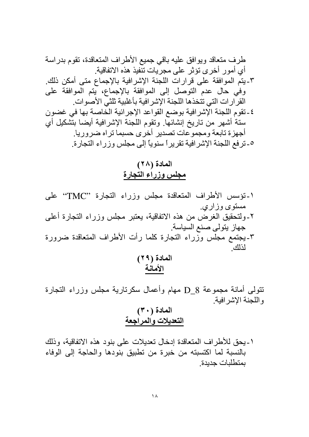## المادة (٢٨) مجلس وزراء التجارة

١-تؤسس الأطراف المتعاقدة مجلس وزراء التجارة "TMC" على مستوى وزاري. ٢-ولنحقيق الغرض من هذه الاتفاقية، يعتبر مجلس وزراء النجارة أعلى جهاز يتولى صنع السياسة ٣ـويجتمع مجلس وزراء التجارة كلما رأت الأطراف المتعاقدة ضرورة لذلك الملدة ٢٩١/

نتولى أمانة مجموعة D\_8 مهام وأعمال سكرنارية مجلس وزراء النجارة واللجنة الإشرافية

١-يحق للأطراف المتعاقدة إدخال تعديلات على بنود هذه الاتفاقية، وذلك بالنسبة لما اكتسبته من خبرة من تطبيق بنودها والحاجة إلى الوفاء بمتطلبات جديدة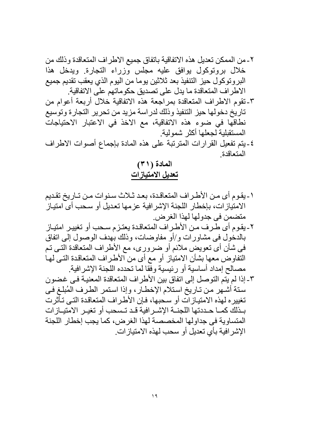٤-يتم تفعيل القرارات المترتبة على هذه المادة بإجماع أصوات الاطراف المتعاقدة

المادة (٣١) تعديل الامتيازات

- ١-يقوم أي من الأطراف المتعاقدة، بعد ثـلاث سنوات من تـاريخ تقديم الامتيازات، بإخطار اللجنة الإشرافية عزمها تعديل أو سحب أي امتياز متضمن في جدولها لهذا الغرض.
- ٢-يقوم أي طرف من الأطراف المتعاقدة يعتزم سحب أو تغيير امتياز بالدخول في مشاورات و/أو مفاوضات، وذلك بهدف الوصول إلى اتفاق في شأن أي تعويض ملائم أو ضروري، مع الأطراف المتعاقدة التي تم التفاوض معها بشأن الامتياز أو مع أي من الأطراف المتعاقدة التي لها مصـالح إمداد أساسية أو رئيسية وفّقا لما تحدده اللجنة الإشرافية.
- ٣- إذا لم يتم التوصل إلى اتفاق بين الأطراف المتعاقدة المعنيـة فـي غضـون ستة أشهر من تـاريخ استلام الإخطـار، وإذا استمر الطـرف المُبلـغ فـي تغييره لهذه الامتيازات أو سحبها، فإن الأطراف المتعاقدة التي تـأثرت بـذلك كمــا حــددتها اللجنــة الإشــر افية قـد تـسحب أو تغيـر الامتيــاز ات المتساوية في جداولها المخصصة لهذا الغرض، كما يجب إخطار اللجنة الإشر افية بأي تعديل أو سحب لهذه الامتياز ات ِ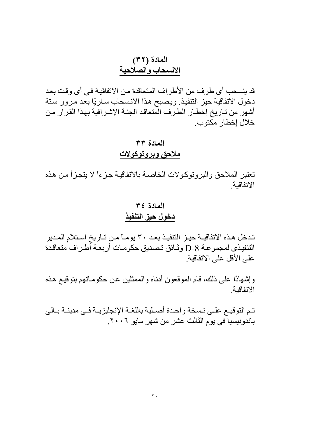### المادة (٣٢) الانسحاب والصلاحية

قد ينسحب أي طرف من الأطراف المتعاقدة من الاتفاقيــة فـي أي وقت بعد دخول الاتفاقية حيز التنفيذ ويصبح هذا الانسحاب ساريًا بعد مرور سنة أشهر من تـاريخ إخطـار الطرف المنعاقد الجنــة الإشـرافية بـهذا القرار مـن خلال اخطار مكتوب

### المعادة ٣٣ ملاحق وبروتوكولات

تعتبر الملاحق والبروتوكولات الخاصىة بالاتفاقية جزءاً لا يتجزأ من هذه الاتفاقنة

#### المعادة ٤٣ دخول حيز التنفيذ

تدخل هذه الاتفاقيــة حيـز التنفيـذ بعـد ٣٠ يومــًا مـن تــاريخ اسـتلام المـدير التنفيذي لمجموعـة D-8 وثـائق تـصديق حكومـات أربعـة أطـراف متعاقدة على الأقل على الاتفاقية

وإشهادًا على ذلك، قام الموقعون أدناه والممثلين عن حكومـاتهم بنوقيـع هذه الاتفاقنة

تم التوقيـع علـى نـسخة واحـدة أصـلية باللغـة الإنجليزيـة فـي مدينــة بـالي باندونيسيا في يوم الثالث عشر من شهر مايو ٢٠٠٦.